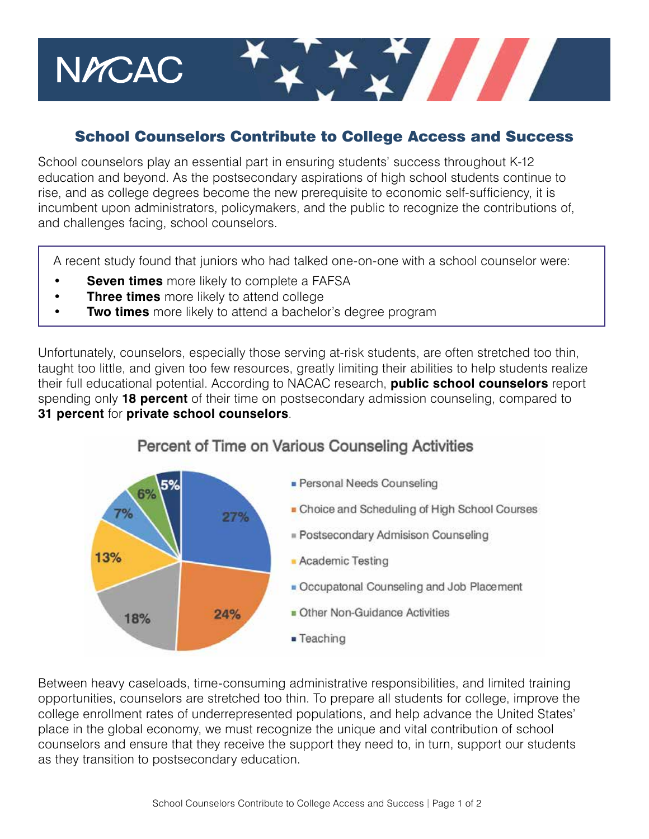## School Counselors Contribute to College Access and Success

T TITLE

School counselors play an essential part in ensuring students' success throughout K-12 education and beyond. As the postsecondary aspirations of high school students continue to rise, and as college degrees become the new prerequisite to economic self-sufficiency, it is incumbent upon administrators, policymakers, and the public to recognize the contributions of, and challenges facing, school counselors.

A recent study found that juniors who had talked one-on-one with a school counselor were:

- **Seven times** more likely to complete a FAFSA
- **Three times** more likely to attend college

NYCAC

**Two times** more likely to attend a bachelor's degree program

Unfortunately, counselors, especially those serving at-risk students, are often stretched too thin, taught too little, and given too few resources, greatly limiting their abilities to help students realize their full educational potential. According to NACAC research, **public school counselors** report spending only **18 percent** of their time on postsecondary admission counseling, compared to **31 percent** for **private school counselors**.



## Percent of Time on Various Counseling Activities

Between heavy caseloads, time-consuming administrative responsibilities, and limited training opportunities, counselors are stretched too thin. To prepare all students for college, improve the college enrollment rates of underrepresented populations, and help advance the United States' place in the global economy, we must recognize the unique and vital contribution of school counselors and ensure that they receive the support they need to, in turn, support our students as they transition to postsecondary education.